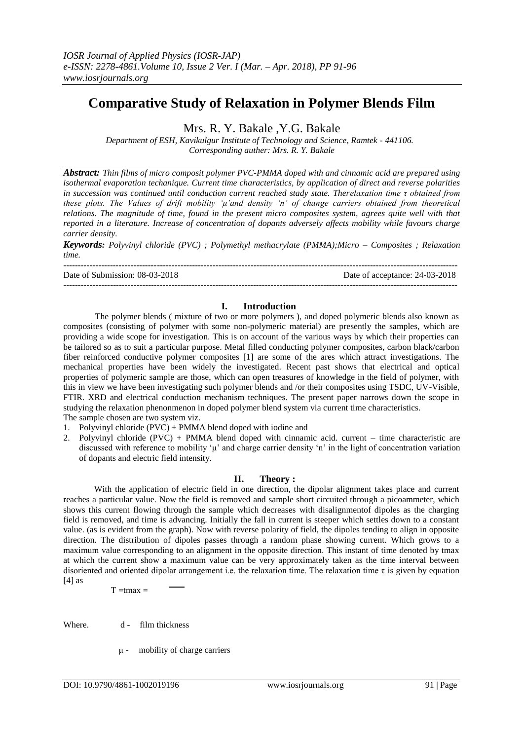# **Comparative Study of Relaxation in Polymer Blends Film**

Mrs. R. Y. Bakale ,Y.G. Bakale

*Department of ESH, Kavikulgur Institute of Technology and Science, Ramtek - 441106. Corresponding auther: Mrs. R. Y. Bakale*

*Abstract: Thin films of micro composit polymer PVC-PMMA doped with and cinnamic acid are prepared using isothermal evaporation techanique. Current time characteristics, by application of direct and reverse polarities in succession was continued until conduction current reached stady state. Therelaxation time τ obtained from these plots. The Values of drift mobility "μ"and density "n" of change carriers obtained from theoretical relations. The magnitude of time, found in the present micro composites system, agrees quite well with that reported in a literature. Increase of concentration of dopants adversely affects mobility while favours charge carrier density.*

*Keywords: Polyvinyl chloride (PVC) ; Polymethyl methacrylate (PMMA);Micro – Composites ; Relaxation time.*

--------------------------------------------------------------------------------------------------------------------------------------- Date of Submission: 08-03-2018 Date of acceptance: 24-03-2018 ---------------------------------------------------------------------------------------------------------------------------------------

# **I. Introduction**

The polymer blends ( mixture of two or more polymers ), and doped polymeric blends also known as composites (consisting of polymer with some non-polymeric material) are presently the samples, which are providing a wide scope for investigation. This is on account of the various ways by which their properties can be tailored so as to suit a particular purpose. Metal filled conducting polymer composites, carbon black/carbon fiber reinforced conductive polymer composites [1] are some of the ares which attract investigations. The mechanical properties have been widely the investigated. Recent past shows that electrical and optical properties of polymeric sample are those, which can open treasures of knowledge in the field of polymer, with this in view we have been investigating such polymer blends and /or their composites using TSDC, UV-Visible, FTIR. XRD and electrical conduction mechanism techniques. The present paper narrows down the scope in studying the relaxation phenonmenon in doped polymer blend system via current time characteristics. The sample chosen are two system viz.

1. Polyvinyl chloride (PVC) + PMMA blend doped with iodine and

2. Polyvinyl chloride (PVC) + PMMA blend doped with cinnamic acid. current – time characteristic are discussed with reference to mobility 'μ' and charge carrier density 'n' in the light of concentration variation of dopants and electric field intensity.

# **II. Theory :**

With the application of electric field in one direction, the dipolar alignment takes place and current reaches a particular value. Now the field is removed and sample short circuited through a picoammeter, which shows this current flowing through the sample which decreases with disalignmentof dipoles as the charging field is removed, and time is advancing. Initially the fall in current is steeper which settles down to a constant value. (as is evident from the graph). Now with reverse polarity of field, the dipoles tending to align in opposite direction. The distribution of dipoles passes through a random phase showing current. Which grows to a maximum value corresponding to an alignment in the opposite direction. This instant of time denoted by tmax at which the current show a maximum value can be very approximately taken as the time interval between disoriented and oriented dipolar arrangement i.e. the relaxation time. The relaxation time  $\tau$  is given by equation  $[4]$  as

 $T = tmax$ 

Where. d - film thickness

μ - mobility of charge carriers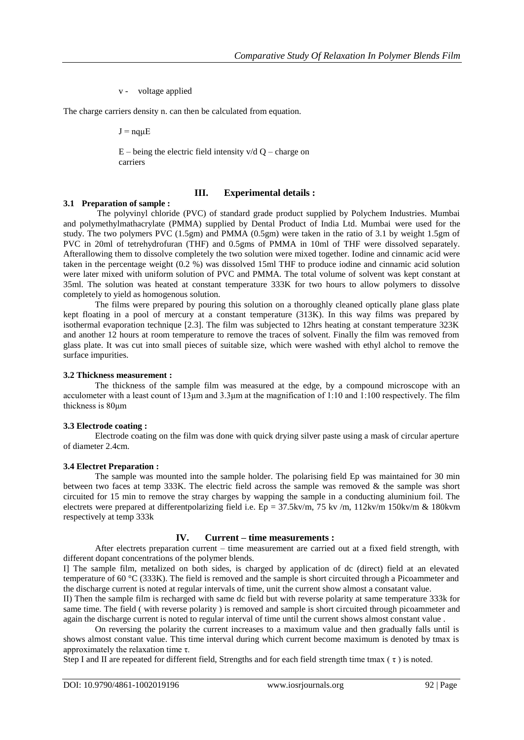v - voltage applied

The charge carriers density n. can then be calculated from equation.

 $J = nq\mu E$ 

 $E$  – being the electric field intensity v/d Q – charge on carriers

## **III. Experimental details :**

## **3.1 Preparation of sample :**

The polyvinyl chloride (PVC) of standard grade product supplied by Polychem Industries. Mumbai and polymethylmathacrylate (PMMA) supplied by Dental Product of India Ltd. Mumbai were used for the study. The two polymers PVC (1.5gm) and PMMA (0.5gm) were taken in the ratio of 3.1 by weight 1.5gm of PVC in 20ml of tetrehydrofuran (THF) and 0.5gms of PMMA in 10ml of THF were dissolved separately. Afterallowing them to dissolve completely the two solution were mixed together. Iodine and cinnamic acid were taken in the percentage weight (0.2 %) was dissolved 15ml THF to produce iodine and cinnamic acid solution were later mixed with uniform solution of PVC and PMMA. The total volume of solvent was kept constant at 35ml. The solution was heated at constant temperature 333K for two hours to allow polymers to dissolve completely to yield as homogenous solution.

The films were prepared by pouring this solution on a thoroughly cleaned optically plane glass plate kept floating in a pool of mercury at a constant temperature (313K). In this way films was prepared by isothermal evaporation technique [2.3]. The film was subjected to 12hrs heating at constant temperature 323K and another 12 hours at room temperature to remove the traces of solvent. Finally the film was removed from glass plate. It was cut into small pieces of suitable size, which were washed with ethyl alchol to remove the surface impurities.

#### **3.2 Thickness measurement :**

The thickness of the sample film was measured at the edge, by a compound microscope with an acculometer with a least count of 13μm and 3.3μm at the magnification of 1:10 and 1:100 respectively. The film thickness is 80μm

#### **3.3 Electrode coating :**

Electrode coating on the film was done with quick drying silver paste using a mask of circular aperture of diameter 2.4cm.

## **3.4 Electret Preparation :**

The sample was mounted into the sample holder. The polarising field Ep was maintained for 30 min between two faces at temp 333K. The electric field across the sample was removed & the sample was short circuited for 15 min to remove the stray charges by wapping the sample in a conducting aluminium foil. The electrets were prepared at differentpolarizing field i.e.  $Ep = 37.5 \text{kv/m}$ ,  $75 \text{ kv/m}$ ,  $112 \text{kv/m}$  150kv/m & 180kvm respectively at temp 333k

## **IV. Current – time measurements :**

After electrets preparation current – time measurement are carried out at a fixed field strength, with different dopant concentrations of the polymer blends.

I] The sample film, metalized on both sides, is charged by application of dc (direct) field at an elevated temperature of 60 °C (333K). The field is removed and the sample is short circuited through a Picoammeter and the discharge current is noted at regular intervals of time, unit the current show almost a consatant value.

II) Then the sample film is recharged with same dc field but with reverse polarity at same temperature 333k for same time. The field ( with reverse polarity ) is removed and sample is short circuited through picoammeter and again the discharge current is noted to regular interval of time until the current shows almost constant value .

On reversing the polarity the current increases to a maximum value and then gradually falls until is shows almost constant value. This time interval during which current become maximum is denoted by tmax is approximately the relaxation time τ.

Step I and II are repeated for different field, Strengths and for each field strength time tmax ( $\tau$ ) is noted.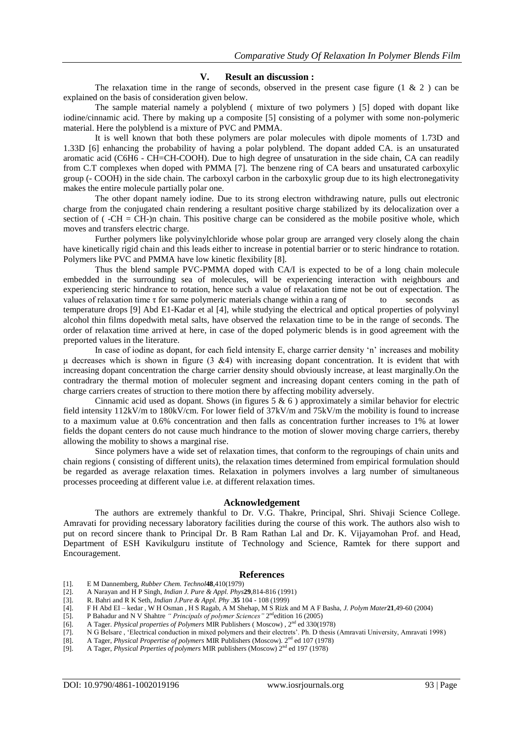## **V. Result an discussion :**

The relaxation time in the range of seconds, observed in the present case figure  $(1 \& 2)$  can be explained on the basis of consideration given below.

The sample material namely a polyblend ( mixture of two polymers ) [5] doped with dopant like iodine/cinnamic acid. There by making up a composite [5] consisting of a polymer with some non-polymeric material. Here the polyblend is a mixture of PVC and PMMA.

It is well known that both these polymers are polar molecules with dipole moments of 1.73D and 1.33D [6] enhancing the probability of having a polar polyblend. The dopant added CA. is an unsaturated aromatic acid (C6H6 - CH=CH-COOH). Due to high degree of unsaturation in the side chain, CA can readily from C.T complexes when doped with PMMA [7]. The benzene ring of CA bears and unsaturated carboxylic group (- COOH) in the side chain. The carboxyl carbon in the carboxylic group due to its high electronegativity makes the entire molecule partially polar one.

The other dopant namely iodine. Due to its strong electron withdrawing nature, pulls out electronic charge from the conjugated chain rendering a resultant positive charge stabilized by its delocalization over a section of ( $-CH = CH$ )n chain. This positive charge can be considered as the mobile positive whole, which moves and transfers electric charge.

Further polymers like polyvinylchloride whose polar group are arranged very closely along the chain have kinetically rigid chain and this leads either to increase in potential barrier or to steric hindrance to rotation. Polymers like PVC and PMMA have low kinetic flexibility [8].

Thus the blend sample PVC-PMMA doped with CA/I is expected to be of a long chain molecule embedded in the surrounding sea of molecules, will be experiencing interaction with neighbours and experiencing steric hindrance to rotation, hence such a value of relaxation time not be out of expectation. The values of relaxation time  $\tau$  for same polymeric materials change within a rang of to seconds as temperature drops [9] Abd E1-Kadar et al [4], while studying the electrical and optical properties of polyvinyl alcohol thin films dopedwith metal salts, have observed the relaxation time to be in the range of seconds. The order of relaxation time arrived at here, in case of the doped polymeric blends is in good agreement with the preported values in the literature.

In case of iodine as dopant, for each field intensity E, charge carrier density 'n' increases and mobility μ decreases which is shown in figure  $(3 \& 4)$  with increasing dopant concentration. It is evident that with increasing dopant concentration the charge carrier density should obviously increase, at least marginally.On the contradrary the thermal motion of moleculer segment and increasing dopant centers coming in the path of charge carriers creates of struction to there motion there by affecting mobility adversely.

Cinnamic acid used as dopant. Shows (in figures  $5 \& 6$ ) approximately a similar behavior for electric field intensity 112kV/m to 180kV/cm. For lower field of 37kV/m and 75kV/m the mobility is found to increase to a maximum value at 0.6% concentration and then falls as concentration further increases to 1% at lower fields the dopant centers do not cause much hindrance to the motion of slower moving charge carriers, thereby allowing the mobility to shows a marginal rise.

Since polymers have a wide set of relaxation times, that conform to the regroupings of chain units and chain regions ( consisting of different units), the relaxation times determined from empirical formulation should be regarded as average relaxation times. Relaxation in polymers involves a larg number of simultaneous processes proceeding at different value i.e. at different relaxation times.

#### **Acknowledgement**

The authors are extremely thankful to Dr. V.G. Thakre, Principal, Shri. Shivaji Science College. Amravati for providing necessary laboratory facilities during the course of this work. The authors also wish to put on record sincere thank to Principal Dr. B Ram Rathan Lal and Dr. K. Vijayamohan Prof. and Head, Department of ESH Kavikulguru institute of Technology and Science, Ramtek for there support and Encouragement.

#### **References**

- [1]. E M Dannemberg, *Rubber Chem. Technol***48**,410(1979)
- [2]. A Narayan and H P Singh, *Indian J. Pure & Appl. Phys***29**,814-816 (1991)
- [3]. R. Bahri and R K Seth, *Indian J.Pure & Appl. Phy .***35** 104 108 (1999)
- [4]. F H Abd EI kedar , W H Osman , H S Ragab, A M Shehap, M S Rizk and M A F Basha, *J. Polym Mater***21**,49-60 (2004)
- [5]. P Bahadur and N V Shahtre "*Principals of polymer Sciences*" 2<sup>nd</sup>edition 16 (2005)
- [6]. A Tager. *Physical properties of Polymers* MIR Publishers ( Moscow) , 2nd ed 330(1978)
- [7]. N G Belsare , 'Electrical conduction in mixed polymers and their electrets'. Ph. D thesis (Amravati University, Amravati 1998)
- [8]. A Tager, *Physical Propertise of polymers* MIR Publishers (Moscow). 2nd ed 107 (1978)
- [9]. A Tager, *Physical Prperties of polymers* MIR publishers (Moscow) 2nd ed 197 (1978)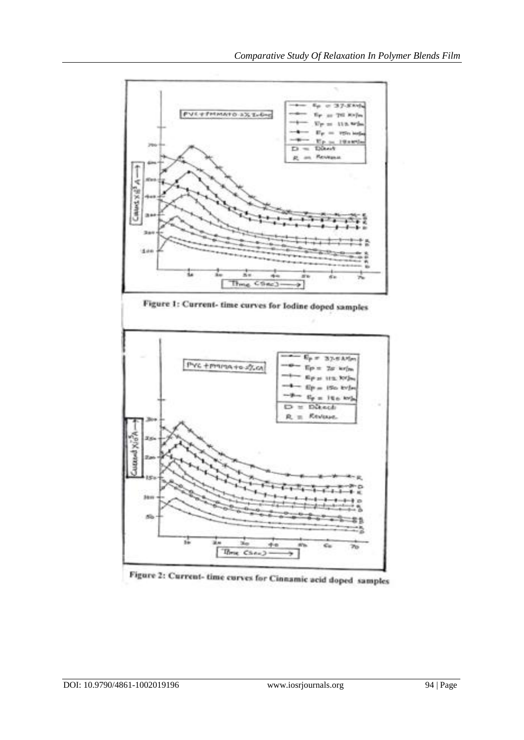



Figure 1: Current- time curves for Iodine doped samples

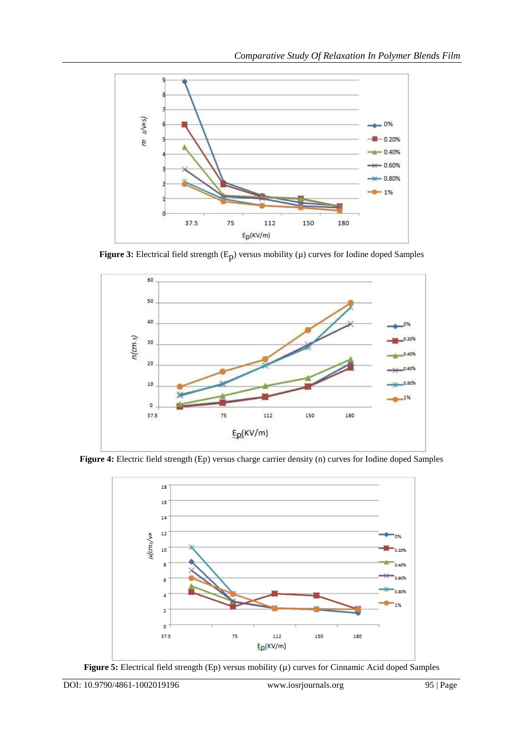

**Figure 3:** Electrical field strength  $(E_p)$  versus mobility  $(\mu)$  curves for Iodine doped Samples



**Figure 4:** Electric field strength (Ep) versus charge carrier density (n) curves for Iodine doped Samples